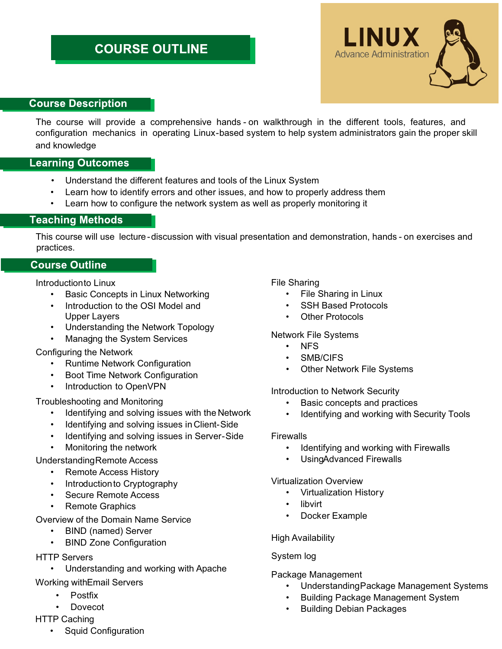# **COURSE OUTLINE**



# **Course Description**

The course will provide a comprehensive hands - on walkthrough in the different tools, features, and configuration mechanics in operating Linux-based system to help system administrators gain the proper skill and knowledge

# **Learning Outcomes**

- Understand the different features and tools of the Linux System
- Learn how to identify errors and other issues, and how to properly address them
- Learn how to configure the network system as well as properly monitoring it

# **Teaching Methods**

This course will use lecture-discussion with visual presentation and demonstration, hands - on exercises and practices.

# **Course Outline**

Introductionto Linux

- Basic Concepts in Linux Networking
- Introduction to the OSI Model and Upper Layers
- Understanding the Network Topology
- Managing the System Services

#### Configuring the Network

- Runtime Network Configuration
- Boot Time Network Configuration
- Introduction to OpenVPN

# Troubleshooting and Monitoring

- Identifying and solving issues with the Network
- Identifying and solving issues in Client-Side
- Identifying and solving issues in Server-Side
- Monitoring the network

# Understanding Remote Access

- Remote Access History
- Introductionto Cryptography
- Secure Remote Access
- Remote Graphics

# Overview of the Domain Name Service

- BIND (named) Server
- BIND Zone Configuration

#### HTTP Servers

• Understanding and working with Apache

# Working with Email Servers

- Postfix
- Dovecot
- HTTP Caching
	- Squid Configuration

# File Sharing

- File Sharing in Linux
- SSH Based Protocols
- **Other Protocols**

# Network File Systems

- NFS
- SMB/CIFS
- **Other Network File Systems**

# Introduction to Network Security

- Basic concepts and practices
- Identifying and working with Security Tools

#### **Firewalls**

- Identifying and working with Firewalls
- UsingAdvanced Firewalls

#### Virtualization Overview

- Virtualization History
- **libvirt**
- Docker Example

# High Availability

# System log

# Package Management

- Understanding Package Management Systems
- Building Package Management System
- Building Debian Packages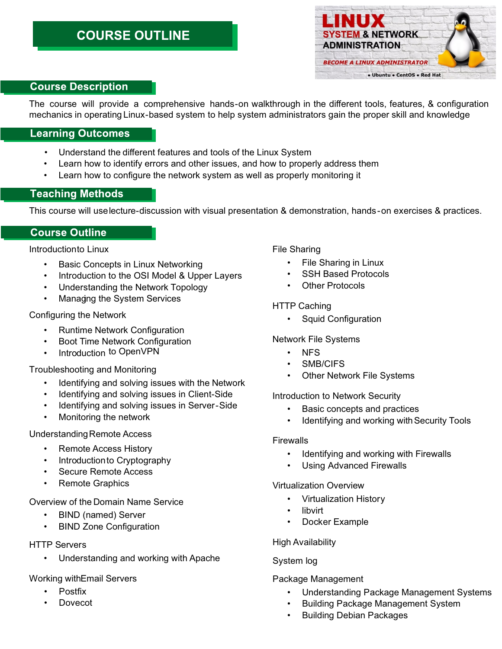# **COURSE OUTLINE**



# **Course Description**

The course will provide a comprehensive hands-on walkthrough in the different tools, features, & configuration mechanics in operating Linux-based system to help system administrators gain the proper skill and knowledge

#### **Learning Outcomes**

- Understand the different features and tools of the Linux System
- Learn how to identify errors and other issues, and how to properly address them
- Learn how to configure the network system as well as properly monitoring it

# **Teaching Methods**

This course will uselecture-discussion with visual presentation & demonstration, hands-on exercises & practices.

#### **Course Outline**

Introductionto Linux

- Basic Concepts in Linux Networking
- Introduction to the OSI Model & Upper Layers
- Understanding the Network Topology
- Managing the System Services

Configuring the Network

- Runtime Network Configuration
- Boot Time Network Configuration
- Introduction to OpenVPN

Troubleshooting and Monitoring

- Identifying and solving issues with the Network
- Identifying and solving issues in Client-Side
- Identifying and solving issues in Server-Side
- Monitoring the network

#### Understanding Remote Access

- Remote Access History
- Introductionto Cryptography
- Secure Remote Access
- Remote Graphics

Overview of the Domain Name Service

- BIND (named) Server
- BIND Zone Configuration

#### HTTP Servers

• Understanding and working with Apache

#### Working with Email Servers

- Postfix
- Dovecot

File Sharing

- File Sharing in Linux
- **SSH Based Protocols**
- Other Protocols

#### HTTP Caching

• Squid Configuration

#### Network File Systems

- NFS
- SMB/CIFS
- **Other Network File Systems**

Introduction to Network Security

- Basic concepts and practices
- Identifying and working with Security Tools

#### **Firewalls**

- Identifying and working with Firewalls
- Using Advanced Firewalls

#### Virtualization Overview

- Virtualization History
- libvirt
- Docker Example

#### High Availability

#### System log

#### Package Management

- Understanding Package Management Systems
- Building Package Management System
- Building Debian Packages